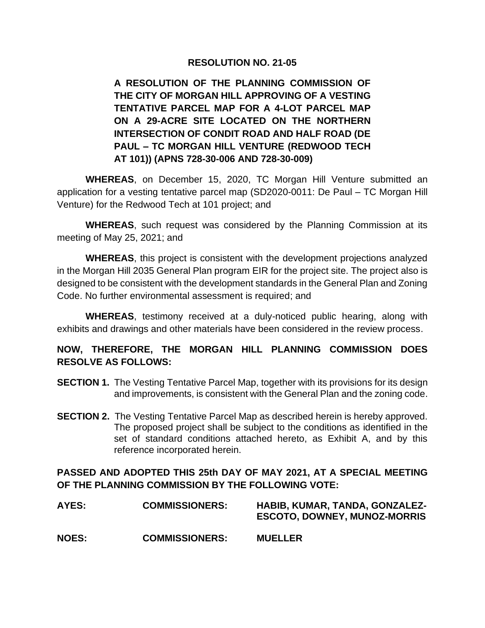#### **RESOLUTION NO. 21-05**

**A RESOLUTION OF THE PLANNING COMMISSION OF THE CITY OF MORGAN HILL APPROVING OF A VESTING TENTATIVE PARCEL MAP FOR A 4-LOT PARCEL MAP ON A 29-ACRE SITE LOCATED ON THE NORTHERN INTERSECTION OF CONDIT ROAD AND HALF ROAD (DE PAUL – TC MORGAN HILL VENTURE (REDWOOD TECH AT 101)) (APNS 728-30-006 AND 728-30-009)**

**WHEREAS**, on December 15, 2020, TC Morgan Hill Venture submitted an application for a vesting tentative parcel map (SD2020-0011: De Paul – TC Morgan Hill Venture) for the Redwood Tech at 101 project; and

**WHEREAS**, such request was considered by the Planning Commission at its meeting of May 25, 2021; and

**WHEREAS**, this project is consistent with the development projections analyzed in the Morgan Hill 2035 General Plan program EIR for the project site. The project also is designed to be consistent with the development standards in the General Plan and Zoning Code. No further environmental assessment is required; and

**WHEREAS**, testimony received at a duly-noticed public hearing, along with exhibits and drawings and other materials have been considered in the review process.

# **NOW, THEREFORE, THE MORGAN HILL PLANNING COMMISSION DOES RESOLVE AS FOLLOWS:**

- **SECTION 1.** The Vesting Tentative Parcel Map, together with its provisions for its design and improvements, is consistent with the General Plan and the zoning code.
- **SECTION 2.** The Vesting Tentative Parcel Map as described herein is hereby approved. The proposed project shall be subject to the conditions as identified in the set of standard conditions attached hereto, as Exhibit A, and by this reference incorporated herein.

# **PASSED AND ADOPTED THIS 25th DAY OF MAY 2021, AT A SPECIAL MEETING OF THE PLANNING COMMISSION BY THE FOLLOWING VOTE:**

| AYES:        | <b>COMMISSIONERS:</b> | HABIB, KUMAR, TANDA, GONZALEZ-<br><b>ESCOTO, DOWNEY, MUNOZ-MORRIS</b> |
|--------------|-----------------------|-----------------------------------------------------------------------|
| <b>NOES:</b> | <b>COMMISSIONERS:</b> | <b>MUELLER</b>                                                        |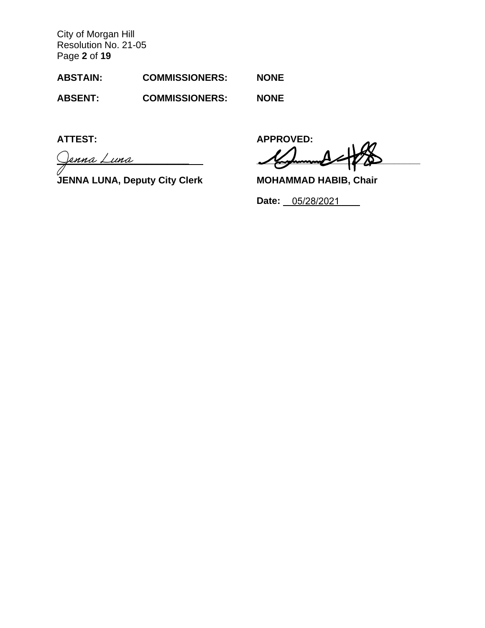City of Morgan Hill Resolution No. 21-05 Page **2** of **19**

| <b>ABSTAIN:</b> | <b>COMMISSIONERS:</b> | <b>NONE</b> |
|-----------------|-----------------------|-------------|
|                 |                       |             |

**ABSENT: COMMISSIONERS: NONE**

**\_\_\_\_\_\_\_\_\_\_\_\_\_\_\_\_\_\_\_\_\_\_\_\_\_ \_\_\_\_\_\_\_\_\_\_\_\_\_\_\_\_\_\_\_\_\_\_\_\_\_\_\_\_\_\_\_**

**JENNA LUNA, Deputy City Clerk MOHAMMAD HABIB, Chair**

**ATTEST: APPROVED:**

**Date:** 05/28/2021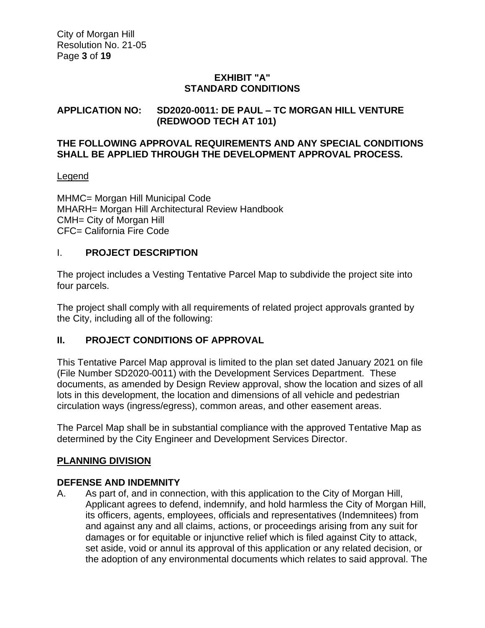# **EXHIBIT "A" STANDARD CONDITIONS**

# **APPLICATION NO: SD2020-0011: DE PAUL – TC MORGAN HILL VENTURE (REDWOOD TECH AT 101)**

#### **THE FOLLOWING APPROVAL REQUIREMENTS AND ANY SPECIAL CONDITIONS SHALL BE APPLIED THROUGH THE DEVELOPMENT APPROVAL PROCESS.**

### Legend

MHMC= Morgan Hill Municipal Code MHARH= Morgan Hill Architectural Review Handbook CMH= City of Morgan Hill CFC= California Fire Code

# I. **PROJECT DESCRIPTION**

The project includes a Vesting Tentative Parcel Map to subdivide the project site into four parcels.

The project shall comply with all requirements of related project approvals granted by the City, including all of the following:

# **II. PROJECT CONDITIONS OF APPROVAL**

This Tentative Parcel Map approval is limited to the plan set dated January 2021 on file (File Number SD2020-0011) with the Development Services Department. These documents, as amended by Design Review approval, show the location and sizes of all lots in this development, the location and dimensions of all vehicle and pedestrian circulation ways (ingress/egress), common areas, and other easement areas.

The Parcel Map shall be in substantial compliance with the approved Tentative Map as determined by the City Engineer and Development Services Director.

# **PLANNING DIVISION**

# **DEFENSE AND INDEMNITY**

A. As part of, and in connection, with this application to the City of Morgan Hill, Applicant agrees to defend, indemnify, and hold harmless the City of Morgan Hill, its officers, agents, employees, officials and representatives (Indemnitees) from and against any and all claims, actions, or proceedings arising from any suit for damages or for equitable or injunctive relief which is filed against City to attack, set aside, void or annul its approval of this application or any related decision, or the adoption of any environmental documents which relates to said approval. The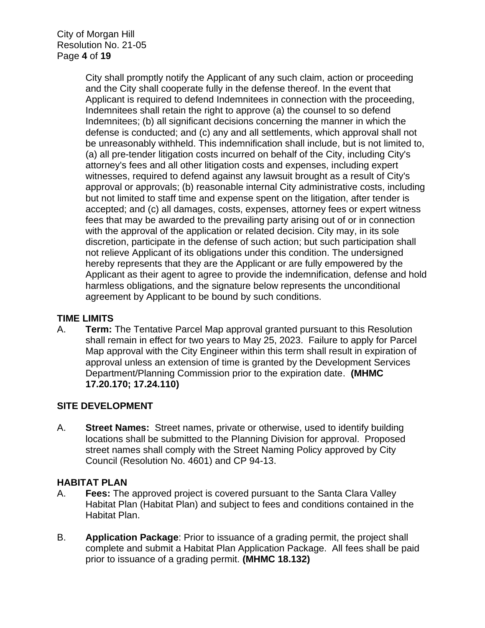City of Morgan Hill Resolution No. 21-05 Page **4** of **19**

> City shall promptly notify the Applicant of any such claim, action or proceeding and the City shall cooperate fully in the defense thereof. In the event that Applicant is required to defend Indemnitees in connection with the proceeding, Indemnitees shall retain the right to approve (a) the counsel to so defend Indemnitees; (b) all significant decisions concerning the manner in which the defense is conducted; and (c) any and all settlements, which approval shall not be unreasonably withheld. This indemnification shall include, but is not limited to, (a) all pre-tender litigation costs incurred on behalf of the City, including City's attorney's fees and all other litigation costs and expenses, including expert witnesses, required to defend against any lawsuit brought as a result of City's approval or approvals; (b) reasonable internal City administrative costs, including but not limited to staff time and expense spent on the litigation, after tender is accepted; and (c) all damages, costs, expenses, attorney fees or expert witness fees that may be awarded to the prevailing party arising out of or in connection with the approval of the application or related decision. City may, in its sole discretion, participate in the defense of such action; but such participation shall not relieve Applicant of its obligations under this condition. The undersigned hereby represents that they are the Applicant or are fully empowered by the Applicant as their agent to agree to provide the indemnification, defense and hold harmless obligations, and the signature below represents the unconditional agreement by Applicant to be bound by such conditions.

# **TIME LIMITS**

A. **Term:** The Tentative Parcel Map approval granted pursuant to this Resolution shall remain in effect for two years to May 25, 2023. Failure to apply for Parcel Map approval with the City Engineer within this term shall result in expiration of approval unless an extension of time is granted by the Development Services Department/Planning Commission prior to the expiration date. **(MHMC 17.20.170; 17.24.110)**

#### **SITE DEVELOPMENT**

A. **Street Names:** Street names, private or otherwise, used to identify building locations shall be submitted to the Planning Division for approval. Proposed street names shall comply with the Street Naming Policy approved by City Council (Resolution No. 4601) and CP 94-13.

#### **HABITAT PLAN**

- A. **Fees:** The approved project is covered pursuant to the Santa Clara Valley Habitat Plan (Habitat Plan) and subject to fees and conditions contained in the Habitat Plan.
- B. **Application Package**: Prior to issuance of a grading permit, the project shall complete and submit a Habitat Plan Application Package. All fees shall be paid prior to issuance of a grading permit. **(MHMC 18.132)**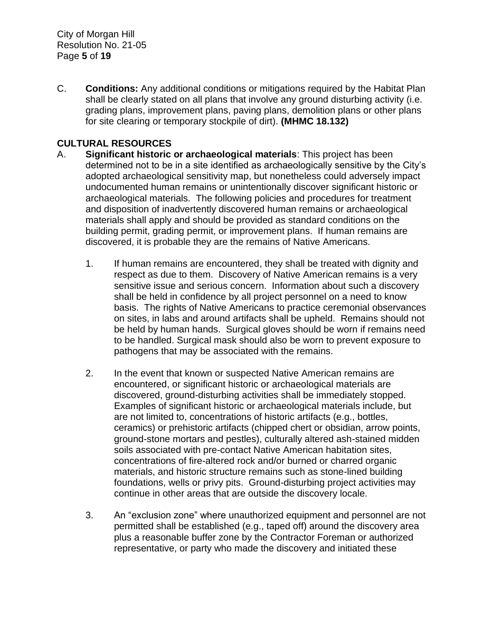C. **Conditions:** Any additional conditions or mitigations required by the Habitat Plan shall be clearly stated on all plans that involve any ground disturbing activity (i.e. grading plans, improvement plans, paving plans, demolition plans or other plans for site clearing or temporary stockpile of dirt). **(MHMC 18.132)**

# **CULTURAL RESOURCES**

- A. **Significant historic or archaeological materials**: This project has been determined not to be in a site identified as archaeologically sensitive by the City's adopted archaeological sensitivity map, but nonetheless could adversely impact undocumented human remains or unintentionally discover significant historic or archaeological materials. The following policies and procedures for treatment and disposition of inadvertently discovered human remains or archaeological materials shall apply and should be provided as standard conditions on the building permit, grading permit, or improvement plans. If human remains are discovered, it is probable they are the remains of Native Americans.
	- 1. If human remains are encountered, they shall be treated with dignity and respect as due to them. Discovery of Native American remains is a very sensitive issue and serious concern. Information about such a discovery shall be held in confidence by all project personnel on a need to know basis. The rights of Native Americans to practice ceremonial observances on sites, in labs and around artifacts shall be upheld. Remains should not be held by human hands. Surgical gloves should be worn if remains need to be handled. Surgical mask should also be worn to prevent exposure to pathogens that may be associated with the remains.
	- 2. In the event that known or suspected Native American remains are encountered, or significant historic or archaeological materials are discovered, ground-disturbing activities shall be immediately stopped. Examples of significant historic or archaeological materials include, but are not limited to, concentrations of historic artifacts (e.g., bottles, ceramics) or prehistoric artifacts (chipped chert or obsidian, arrow points, ground-stone mortars and pestles), culturally altered ash-stained midden soils associated with pre-contact Native American habitation sites, concentrations of fire-altered rock and/or burned or charred organic materials, and historic structure remains such as stone-lined building foundations, wells or privy pits. Ground-disturbing project activities may continue in other areas that are outside the discovery locale.
	- 3. An "exclusion zone" where unauthorized equipment and personnel are not permitted shall be established (e.g., taped off) around the discovery area plus a reasonable buffer zone by the Contractor Foreman or authorized representative, or party who made the discovery and initiated these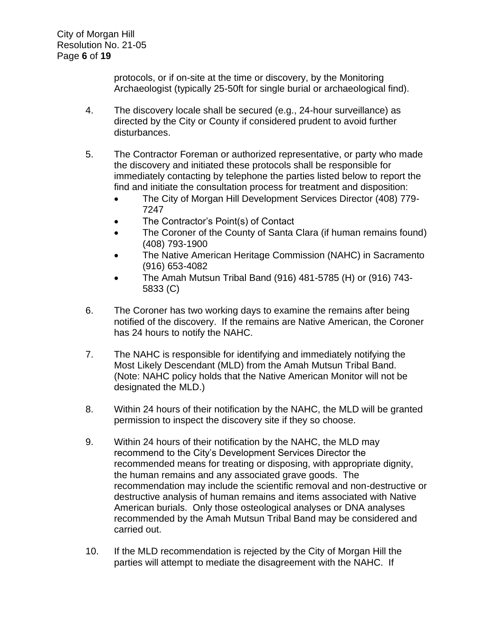protocols, or if on-site at the time or discovery, by the Monitoring Archaeologist (typically 25-50ft for single burial or archaeological find).

- 4. The discovery locale shall be secured (e.g., 24-hour surveillance) as directed by the City or County if considered prudent to avoid further disturbances.
- 5. The Contractor Foreman or authorized representative, or party who made the discovery and initiated these protocols shall be responsible for immediately contacting by telephone the parties listed below to report the find and initiate the consultation process for treatment and disposition:
	- The City of Morgan Hill Development Services Director (408) 779-7247
	- The Contractor's Point(s) of Contact
	- The Coroner of the County of Santa Clara (if human remains found) (408) 793-1900
	- The Native American Heritage Commission (NAHC) in Sacramento (916) 653-4082
	- The Amah Mutsun Tribal Band (916) 481-5785 (H) or (916) 743- 5833 (C)
- 6. The Coroner has two working days to examine the remains after being notified of the discovery. If the remains are Native American, the Coroner has 24 hours to notify the NAHC.
- 7. The NAHC is responsible for identifying and immediately notifying the Most Likely Descendant (MLD) from the Amah Mutsun Tribal Band. (Note: NAHC policy holds that the Native American Monitor will not be designated the MLD.)
- 8. Within 24 hours of their notification by the NAHC, the MLD will be granted permission to inspect the discovery site if they so choose.
- 9. Within 24 hours of their notification by the NAHC, the MLD may recommend to the City's Development Services Director the recommended means for treating or disposing, with appropriate dignity, the human remains and any associated grave goods. The recommendation may include the scientific removal and non-destructive or destructive analysis of human remains and items associated with Native American burials. Only those osteological analyses or DNA analyses recommended by the Amah Mutsun Tribal Band may be considered and carried out.
- 10. If the MLD recommendation is rejected by the City of Morgan Hill the parties will attempt to mediate the disagreement with the NAHC. If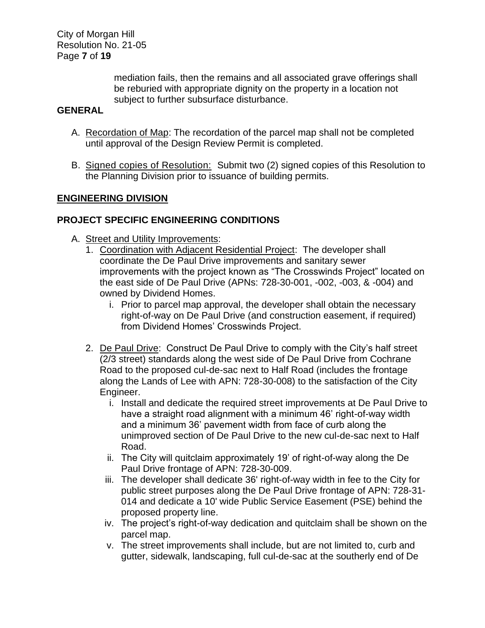City of Morgan Hill Resolution No. 21-05 Page **7** of **19**

> mediation fails, then the remains and all associated grave offerings shall be reburied with appropriate dignity on the property in a location not subject to further subsurface disturbance.

## **GENERAL**

- A. Recordation of Map: The recordation of the parcel map shall not be completed until approval of the Design Review Permit is completed.
- B. Signed copies of Resolution: Submit two (2) signed copies of this Resolution to the Planning Division prior to issuance of building permits.

### **ENGINEERING DIVISION**

# **PROJECT SPECIFIC ENGINEERING CONDITIONS**

- A. Street and Utility Improvements:
	- 1. Coordination with Adjacent Residential Project: The developer shall coordinate the De Paul Drive improvements and sanitary sewer improvements with the project known as "The Crosswinds Project" located on the east side of De Paul Drive (APNs: 728-30-001, -002, -003, & -004) and owned by Dividend Homes.
		- i. Prior to parcel map approval, the developer shall obtain the necessary right-of-way on De Paul Drive (and construction easement, if required) from Dividend Homes' Crosswinds Project.
	- 2. De Paul Drive: Construct De Paul Drive to comply with the City's half street (2/3 street) standards along the west side of De Paul Drive from Cochrane Road to the proposed cul-de-sac next to Half Road (includes the frontage along the Lands of Lee with APN: 728-30-008) to the satisfaction of the City Engineer.
		- i. Install and dedicate the required street improvements at De Paul Drive to have a straight road alignment with a minimum 46' right-of-way width and a minimum 36' pavement width from face of curb along the unimproved section of De Paul Drive to the new cul-de-sac next to Half Road.
		- ii. The City will quitclaim approximately 19' of right-of-way along the De Paul Drive frontage of APN: 728-30-009.
		- iii. The developer shall dedicate 36' right-of-way width in fee to the City for public street purposes along the De Paul Drive frontage of APN: 728-31- 014 and dedicate a 10' wide Public Service Easement (PSE) behind the proposed property line.
		- iv. The project's right-of-way dedication and quitclaim shall be shown on the parcel map.
		- v. The street improvements shall include, but are not limited to, curb and gutter, sidewalk, landscaping, full cul-de-sac at the southerly end of De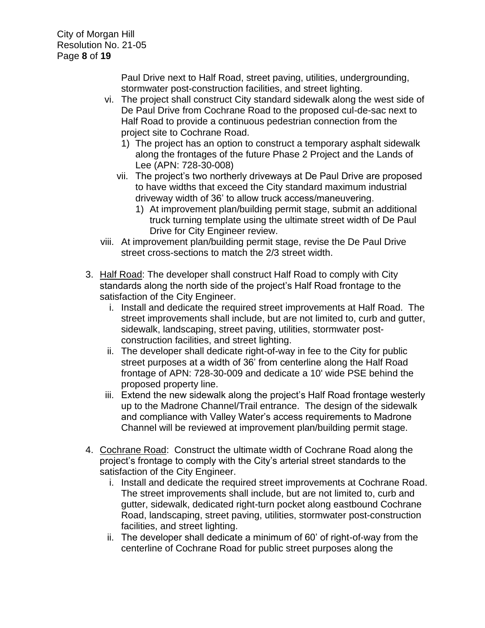City of Morgan Hill Resolution No. 21-05 Page **8** of **19**

> Paul Drive next to Half Road, street paving, utilities, undergrounding, stormwater post-construction facilities, and street lighting.

- vi. The project shall construct City standard sidewalk along the west side of De Paul Drive from Cochrane Road to the proposed cul-de-sac next to Half Road to provide a continuous pedestrian connection from the project site to Cochrane Road.
	- 1) The project has an option to construct a temporary asphalt sidewalk along the frontages of the future Phase 2 Project and the Lands of Lee (APN: 728-30-008)
	- vii. The project's two northerly driveways at De Paul Drive are proposed to have widths that exceed the City standard maximum industrial driveway width of 36' to allow truck access/maneuvering.
		- 1) At improvement plan/building permit stage, submit an additional truck turning template using the ultimate street width of De Paul Drive for City Engineer review.
- viii. At improvement plan/building permit stage, revise the De Paul Drive street cross-sections to match the 2/3 street width.
- 3. Half Road: The developer shall construct Half Road to comply with City standards along the north side of the project's Half Road frontage to the satisfaction of the City Engineer.
	- i. Install and dedicate the required street improvements at Half Road. The street improvements shall include, but are not limited to, curb and gutter, sidewalk, landscaping, street paving, utilities, stormwater postconstruction facilities, and street lighting.
	- ii. The developer shall dedicate right-of-way in fee to the City for public street purposes at a width of 36' from centerline along the Half Road frontage of APN: 728-30-009 and dedicate a 10' wide PSE behind the proposed property line.
	- iii. Extend the new sidewalk along the project's Half Road frontage westerly up to the Madrone Channel/Trail entrance. The design of the sidewalk and compliance with Valley Water's access requirements to Madrone Channel will be reviewed at improvement plan/building permit stage.
- 4. Cochrane Road: Construct the ultimate width of Cochrane Road along the project's frontage to comply with the City's arterial street standards to the satisfaction of the City Engineer.
	- i. Install and dedicate the required street improvements at Cochrane Road. The street improvements shall include, but are not limited to, curb and gutter, sidewalk, dedicated right-turn pocket along eastbound Cochrane Road, landscaping, street paving, utilities, stormwater post-construction facilities, and street lighting.
	- ii. The developer shall dedicate a minimum of 60' of right-of-way from the centerline of Cochrane Road for public street purposes along the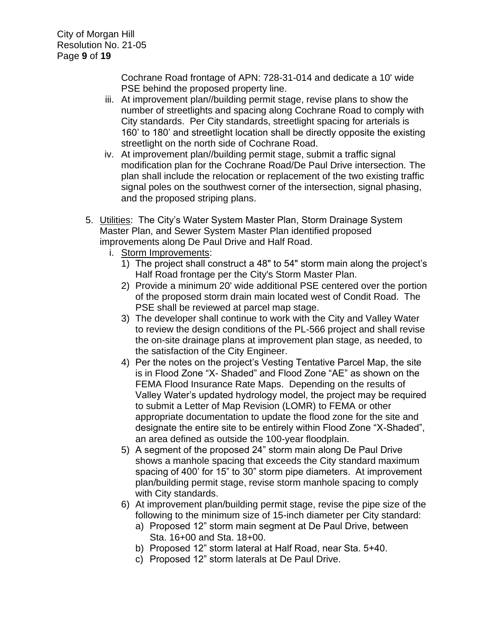Cochrane Road frontage of APN: 728-31-014 and dedicate a 10' wide PSE behind the proposed property line.

- iii. At improvement plan//building permit stage, revise plans to show the number of streetlights and spacing along Cochrane Road to comply with City standards. Per City standards, streetlight spacing for arterials is 160' to 180' and streetlight location shall be directly opposite the existing streetlight on the north side of Cochrane Road.
- iv. At improvement plan//building permit stage, submit a traffic signal modification plan for the Cochrane Road/De Paul Drive intersection. The plan shall include the relocation or replacement of the two existing traffic signal poles on the southwest corner of the intersection, signal phasing, and the proposed striping plans.
- 5. Utilities: The City's Water System Master Plan, Storm Drainage System Master Plan, and Sewer System Master Plan identified proposed improvements along De Paul Drive and Half Road.
	- i. Storm Improvements:
		- 1) The project shall construct a 48" to 54" storm main along the project's Half Road frontage per the City's Storm Master Plan.
		- 2) Provide a minimum 20' wide additional PSE centered over the portion of the proposed storm drain main located west of Condit Road. The PSE shall be reviewed at parcel map stage.
		- 3) The developer shall continue to work with the City and Valley Water to review the design conditions of the PL-566 project and shall revise the on-site drainage plans at improvement plan stage, as needed, to the satisfaction of the City Engineer.
		- 4) Per the notes on the project's Vesting Tentative Parcel Map, the site is in Flood Zone "X- Shaded" and Flood Zone "AE" as shown on the FEMA Flood Insurance Rate Maps. Depending on the results of Valley Water's updated hydrology model, the project may be required to submit a Letter of Map Revision (LOMR) to FEMA or other appropriate documentation to update the flood zone for the site and designate the entire site to be entirely within Flood Zone "X-Shaded", an area defined as outside the 100-year floodplain.
		- 5) A segment of the proposed 24" storm main along De Paul Drive shows a manhole spacing that exceeds the City standard maximum spacing of 400' for 15" to 30" storm pipe diameters. At improvement plan/building permit stage, revise storm manhole spacing to comply with City standards.
		- 6) At improvement plan/building permit stage, revise the pipe size of the following to the minimum size of 15-inch diameter per City standard:
			- a) Proposed 12" storm main segment at De Paul Drive, between Sta. 16+00 and Sta. 18+00.
			- b) Proposed 12" storm lateral at Half Road, near Sta. 5+40.
			- c) Proposed 12" storm laterals at De Paul Drive.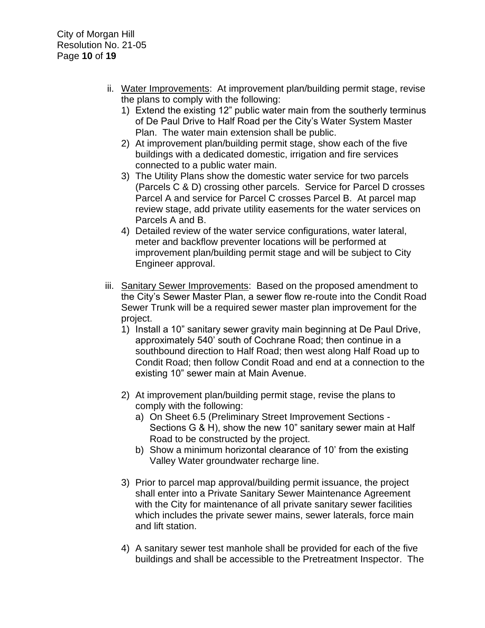- ii. Water Improvements: At improvement plan/building permit stage, revise the plans to comply with the following:
	- 1) Extend the existing 12" public water main from the southerly terminus of De Paul Drive to Half Road per the City's Water System Master Plan. The water main extension shall be public.
	- 2) At improvement plan/building permit stage, show each of the five buildings with a dedicated domestic, irrigation and fire services connected to a public water main.
	- 3) The Utility Plans show the domestic water service for two parcels (Parcels C & D) crossing other parcels. Service for Parcel D crosses Parcel A and service for Parcel C crosses Parcel B. At parcel map review stage, add private utility easements for the water services on Parcels A and B.
	- 4) Detailed review of the water service configurations, water lateral, meter and backflow preventer locations will be performed at improvement plan/building permit stage and will be subject to City Engineer approval.
- iii. Sanitary Sewer Improvements: Based on the proposed amendment to the City's Sewer Master Plan, a sewer flow re-route into the Condit Road Sewer Trunk will be a required sewer master plan improvement for the project.
	- 1) Install a 10" sanitary sewer gravity main beginning at De Paul Drive, approximately 540' south of Cochrane Road; then continue in a southbound direction to Half Road; then west along Half Road up to Condit Road; then follow Condit Road and end at a connection to the existing 10" sewer main at Main Avenue.
	- 2) At improvement plan/building permit stage, revise the plans to comply with the following:
		- a) On Sheet 6.5 (Preliminary Street Improvement Sections Sections G & H), show the new 10" sanitary sewer main at Half Road to be constructed by the project.
		- b) Show a minimum horizontal clearance of 10' from the existing Valley Water groundwater recharge line.
	- 3) Prior to parcel map approval/building permit issuance, the project shall enter into a Private Sanitary Sewer Maintenance Agreement with the City for maintenance of all private sanitary sewer facilities which includes the private sewer mains, sewer laterals, force main and lift station.
	- 4) A sanitary sewer test manhole shall be provided for each of the five buildings and shall be accessible to the Pretreatment Inspector. The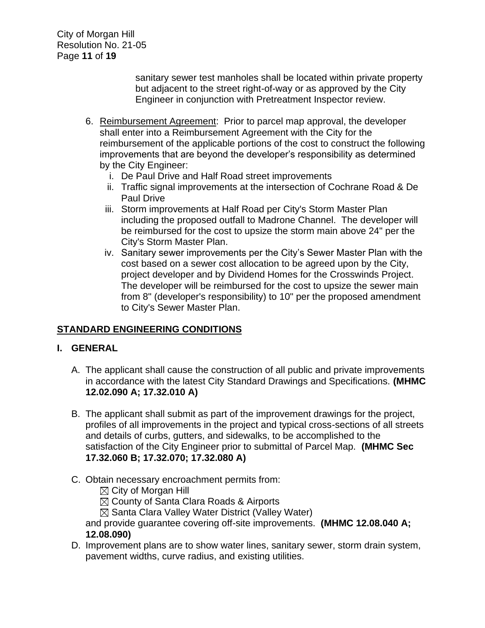City of Morgan Hill Resolution No. 21-05 Page **11** of **19**

> sanitary sewer test manholes shall be located within private property but adjacent to the street right-of-way or as approved by the City Engineer in conjunction with Pretreatment Inspector review.

- 6. Reimbursement Agreement: Prior to parcel map approval, the developer shall enter into a Reimbursement Agreement with the City for the reimbursement of the applicable portions of the cost to construct the following improvements that are beyond the developer's responsibility as determined by the City Engineer:
	- i. De Paul Drive and Half Road street improvements
	- ii. Traffic signal improvements at the intersection of Cochrane Road & De Paul Drive
	- iii. Storm improvements at Half Road per City's Storm Master Plan including the proposed outfall to Madrone Channel. The developer will be reimbursed for the cost to upsize the storm main above 24" per the City's Storm Master Plan.
	- iv. Sanitary sewer improvements per the City's Sewer Master Plan with the cost based on a sewer cost allocation to be agreed upon by the City, project developer and by Dividend Homes for the Crosswinds Project. The developer will be reimbursed for the cost to upsize the sewer main from 8" (developer's responsibility) to 10" per the proposed amendment to City's Sewer Master Plan.

# **STANDARD ENGINEERING CONDITIONS**

# **I. GENERAL**

- A. The applicant shall cause the construction of all public and private improvements in accordance with the latest City Standard Drawings and Specifications. **(MHMC 12.02.090 A; 17.32.010 A)**
- B. The applicant shall submit as part of the improvement drawings for the project, profiles of all improvements in the project and typical cross-sections of all streets and details of curbs, gutters, and sidewalks, to be accomplished to the satisfaction of the City Engineer prior to submittal of Parcel Map. **(MHMC Sec 17.32.060 B; 17.32.070; 17.32.080 A)**
- C. Obtain necessary encroachment permits from:
	- $\boxtimes$  City of Morgan Hill
	- $\boxtimes$  County of Santa Clara Roads & Airports
	- $\boxtimes$  Santa Clara Valley Water District (Valley Water)

and provide guarantee covering off-site improvements. **(MHMC 12.08.040 A; 12.08.090)**

D. Improvement plans are to show water lines, sanitary sewer, storm drain system, pavement widths, curve radius, and existing utilities.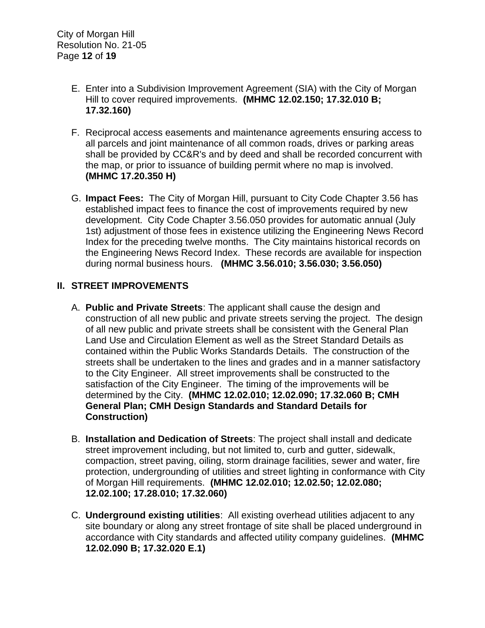- E. Enter into a Subdivision Improvement Agreement (SIA) with the City of Morgan Hill to cover required improvements. **(MHMC 12.02.150; 17.32.010 B; 17.32.160)**
- F. Reciprocal access easements and maintenance agreements ensuring access to all parcels and joint maintenance of all common roads, drives or parking areas shall be provided by CC&R's and by deed and shall be recorded concurrent with the map, or prior to issuance of building permit where no map is involved. **(MHMC 17.20.350 H)**
- G. **Impact Fees:** The City of Morgan Hill, pursuant to City Code Chapter 3.56 has established impact fees to finance the cost of improvements required by new development. City Code Chapter 3.56.050 provides for automatic annual (July 1st) adjustment of those fees in existence utilizing the Engineering News Record Index for the preceding twelve months. The City maintains historical records on the Engineering News Record Index. These records are available for inspection during normal business hours. **(MHMC 3.56.010; 3.56.030; 3.56.050)**

### **II. STREET IMPROVEMENTS**

- A. **Public and Private Streets**: The applicant shall cause the design and construction of all new public and private streets serving the project. The design of all new public and private streets shall be consistent with the General Plan Land Use and Circulation Element as well as the Street Standard Details as contained within the Public Works Standards Details. The construction of the streets shall be undertaken to the lines and grades and in a manner satisfactory to the City Engineer. All street improvements shall be constructed to the satisfaction of the City Engineer. The timing of the improvements will be determined by the City. **(MHMC 12.02.010; 12.02.090; 17.32.060 B; CMH General Plan; CMH Design Standards and Standard Details for Construction)**
- B. **Installation and Dedication of Streets**: The project shall install and dedicate street improvement including, but not limited to, curb and gutter, sidewalk, compaction, street paving, oiling, storm drainage facilities, sewer and water, fire protection, undergrounding of utilities and street lighting in conformance with City of Morgan Hill requirements. **(MHMC 12.02.010; 12.02.50; 12.02.080; 12.02.100; 17.28.010; 17.32.060)**
- C. **Underground existing utilities**: All existing overhead utilities adjacent to any site boundary or along any street frontage of site shall be placed underground in accordance with City standards and affected utility company guidelines. **(MHMC 12.02.090 B; 17.32.020 E.1)**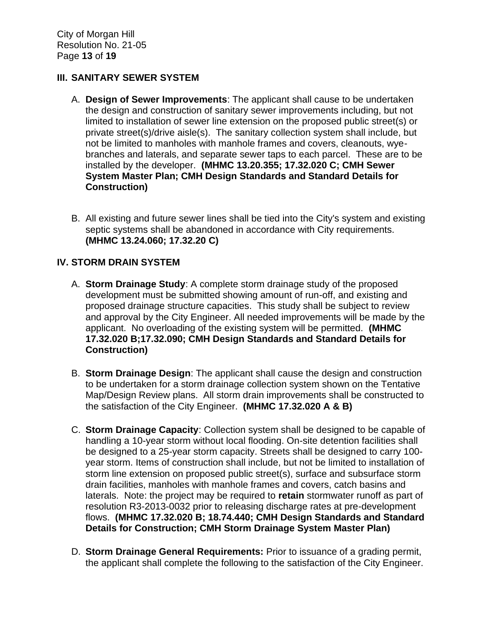### **III. SANITARY SEWER SYSTEM**

- A. **Design of Sewer Improvements**: The applicant shall cause to be undertaken the design and construction of sanitary sewer improvements including, but not limited to installation of sewer line extension on the proposed public street(s) or private street(s)/drive aisle(s). The sanitary collection system shall include, but not be limited to manholes with manhole frames and covers, cleanouts, wyebranches and laterals, and separate sewer taps to each parcel. These are to be installed by the developer. **(MHMC 13.20.355; 17.32.020 C; CMH Sewer System Master Plan; CMH Design Standards and Standard Details for Construction)**
- B. All existing and future sewer lines shall be tied into the City's system and existing septic systems shall be abandoned in accordance with City requirements. **(MHMC 13.24.060; 17.32.20 C)**

### **IV. STORM DRAIN SYSTEM**

- A. **Storm Drainage Study**: A complete storm drainage study of the proposed development must be submitted showing amount of run-off, and existing and proposed drainage structure capacities. This study shall be subject to review and approval by the City Engineer. All needed improvements will be made by the applicant. No overloading of the existing system will be permitted. **(MHMC 17.32.020 B;17.32.090; CMH Design Standards and Standard Details for Construction)**
- B. **Storm Drainage Design**: The applicant shall cause the design and construction to be undertaken for a storm drainage collection system shown on the Tentative Map/Design Review plans. All storm drain improvements shall be constructed to the satisfaction of the City Engineer. **(MHMC 17.32.020 A & B)**
- C. **Storm Drainage Capacity**: Collection system shall be designed to be capable of handling a 10-year storm without local flooding. On-site detention facilities shall be designed to a 25-year storm capacity. Streets shall be designed to carry 100 year storm. Items of construction shall include, but not be limited to installation of storm line extension on proposed public street(s), surface and subsurface storm drain facilities, manholes with manhole frames and covers, catch basins and laterals. Note: the project may be required to **retain** stormwater runoff as part of resolution R3-2013-0032 prior to releasing discharge rates at pre-development flows. **(MHMC 17.32.020 B; 18.74.440; CMH Design Standards and Standard Details for Construction; CMH Storm Drainage System Master Plan)**
- D. **Storm Drainage General Requirements:** Prior to issuance of a grading permit, the applicant shall complete the following to the satisfaction of the City Engineer.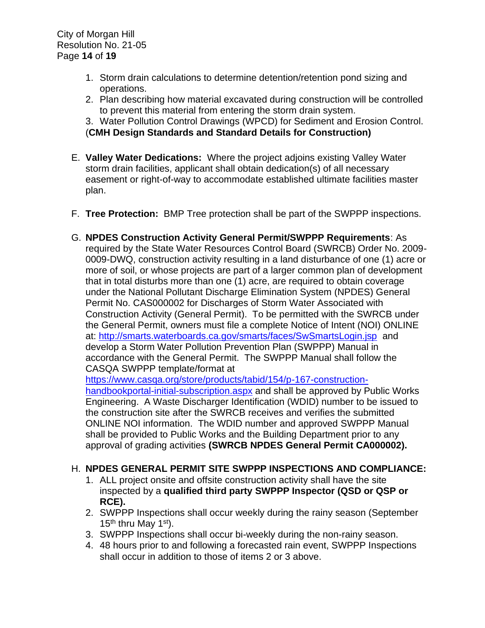- 1. Storm drain calculations to determine detention/retention pond sizing and operations.
- 2. Plan describing how material excavated during construction will be controlled to prevent this material from entering the storm drain system.

3. Water Pollution Control Drawings (WPCD) for Sediment and Erosion Control. (**CMH Design Standards and Standard Details for Construction)**

- E. **Valley Water Dedications:** Where the project adjoins existing Valley Water storm drain facilities, applicant shall obtain dedication(s) of all necessary easement or right-of-way to accommodate established ultimate facilities master plan.
- F. **Tree Protection:** BMP Tree protection shall be part of the SWPPP inspections.
- G. **NPDES Construction Activity General Permit/SWPPP Requirements**: As required by the State Water Resources Control Board (SWRCB) Order No. 2009- 0009-DWQ, construction activity resulting in a land disturbance of one (1) acre or more of soil, or whose projects are part of a larger common plan of development that in total disturbs more than one (1) acre, are required to obtain coverage under the National Pollutant Discharge Elimination System (NPDES) General Permit No. CAS000002 for Discharges of Storm Water Associated with Construction Activity (General Permit). To be permitted with the SWRCB under the General Permit, owners must file a complete Notice of Intent (NOI) ONLINE at:<http://smarts.waterboards.ca.gov/smarts/faces/SwSmartsLogin.jsp>and develop a Storm Water Pollution Prevention Plan (SWPPP) Manual in accordance with the General Permit. The SWPPP Manual shall follow the CASQA SWPPP template/format at

[https://www.casqa.org/store/products/tabid/154/p-167-construction](https://www.casqa.org/store/products/tabid/154/p-167-construction-handbookportal-initial-subscription.aspx)[handbookportal-initial-subscription.aspx](https://www.casqa.org/store/products/tabid/154/p-167-construction-handbookportal-initial-subscription.aspx) and shall be approved by Public Works Engineering. A Waste Discharger Identification (WDID) number to be issued to the construction site after the SWRCB receives and verifies the submitted ONLINE NOI information. The WDID number and approved SWPPP Manual shall be provided to Public Works and the Building Department prior to any approval of grading activities **(SWRCB NPDES General Permit CA000002).**

#### H. **NPDES GENERAL PERMIT SITE SWPPP INSPECTIONS AND COMPLIANCE:**

- 1. ALL project onsite and offsite construction activity shall have the site inspected by a **qualified third party SWPPP Inspector (QSD or QSP or RCE).**
- 2. SWPPP Inspections shall occur weekly during the rainy season (September 15<sup>th</sup> thru May 1<sup>st</sup>).
- 3. SWPPP Inspections shall occur bi-weekly during the non-rainy season.
- 4. 48 hours prior to and following a forecasted rain event, SWPPP Inspections shall occur in addition to those of items 2 or 3 above.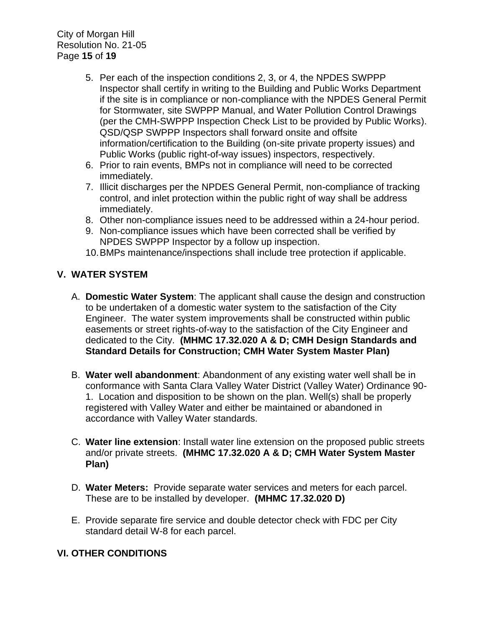City of Morgan Hill Resolution No. 21-05 Page **15** of **19**

- 5. Per each of the inspection conditions 2, 3, or 4, the NPDES SWPPP Inspector shall certify in writing to the Building and Public Works Department if the site is in compliance or non-compliance with the NPDES General Permit for Stormwater, site SWPPP Manual, and Water Pollution Control Drawings (per the CMH-SWPPP Inspection Check List to be provided by Public Works). QSD/QSP SWPPP Inspectors shall forward onsite and offsite information/certification to the Building (on-site private property issues) and Public Works (public right-of-way issues) inspectors, respectively.
- 6. Prior to rain events, BMPs not in compliance will need to be corrected immediately.
- 7. Illicit discharges per the NPDES General Permit, non-compliance of tracking control, and inlet protection within the public right of way shall be address immediately.
- 8. Other non-compliance issues need to be addressed within a 24-hour period.
- 9. Non-compliance issues which have been corrected shall be verified by NPDES SWPPP Inspector by a follow up inspection.
- 10.BMPs maintenance/inspections shall include tree protection if applicable.

# **V. WATER SYSTEM**

- A. **Domestic Water System**: The applicant shall cause the design and construction to be undertaken of a domestic water system to the satisfaction of the City Engineer. The water system improvements shall be constructed within public easements or street rights-of-way to the satisfaction of the City Engineer and dedicated to the City. **(MHMC 17.32.020 A & D; CMH Design Standards and Standard Details for Construction; CMH Water System Master Plan)**
- B. **Water well abandonment**: Abandonment of any existing water well shall be in conformance with Santa Clara Valley Water District (Valley Water) Ordinance 90- 1. Location and disposition to be shown on the plan. Well(s) shall be properly registered with Valley Water and either be maintained or abandoned in accordance with Valley Water standards.
- C. **Water line extension**: Install water line extension on the proposed public streets and/or private streets. **(MHMC 17.32.020 A & D; CMH Water System Master Plan)**
- D. **Water Meters:** Provide separate water services and meters for each parcel. These are to be installed by developer. **(MHMC 17.32.020 D)**
- E. Provide separate fire service and double detector check with FDC per City standard detail W-8 for each parcel.

# **VI. OTHER CONDITIONS**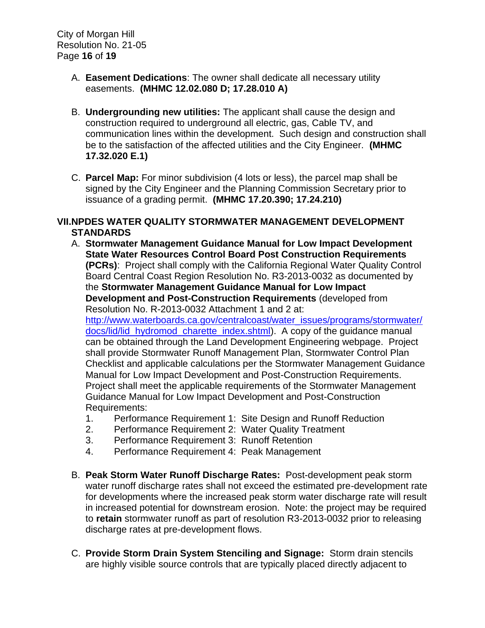- A. **Easement Dedications**: The owner shall dedicate all necessary utility easements. **(MHMC 12.02.080 D; 17.28.010 A)**
- B. **Undergrounding new utilities:** The applicant shall cause the design and construction required to underground all electric, gas, Cable TV, and communication lines within the development. Such design and construction shall be to the satisfaction of the affected utilities and the City Engineer. **(MHMC 17.32.020 E.1)**
- C. **Parcel Map:** For minor subdivision (4 lots or less), the parcel map shall be signed by the City Engineer and the Planning Commission Secretary prior to issuance of a grading permit. **(MHMC 17.20.390; 17.24.210)**

### **VII.NPDES WATER QUALITY STORMWATER MANAGEMENT DEVELOPMENT STANDARDS**

A. **Stormwater Management Guidance Manual for Low Impact Development State Water Resources Control Board Post Construction Requirements (PCRs)**: Project shall comply with the California Regional Water Quality Control Board Central Coast Region Resolution No. R3-2013-0032 as documented by the **Stormwater Management Guidance Manual for Low Impact Development and Post-Construction Requirements** (developed from Resolution No. R-2013-0032 Attachment 1 and 2 at: [http://www.waterboards.ca.gov/centralcoast/water\\_issues/programs/stormwater/](http://www.waterboards.ca.gov/centralcoast/water_issues/programs/stormwater/docs/lid/lid_hydromod_charette_index.shtml)

[docs/lid/lid\\_hydromod\\_charette\\_index.shtml\)](http://www.waterboards.ca.gov/centralcoast/water_issues/programs/stormwater/docs/lid/lid_hydromod_charette_index.shtml). A copy of the guidance manual can be obtained through the Land Development Engineering webpage. Project shall provide Stormwater Runoff Management Plan, Stormwater Control Plan Checklist and applicable calculations per the Stormwater Management Guidance Manual for Low Impact Development and Post-Construction Requirements. Project shall meet the applicable requirements of the Stormwater Management Guidance Manual for Low Impact Development and Post-Construction Requirements:

- 1. Performance Requirement 1: Site Design and Runoff Reduction
- 2. Performance Requirement 2: Water Quality Treatment
- 3. Performance Requirement 3: Runoff Retention
- 4. Performance Requirement 4: Peak Management
- B. **Peak Storm Water Runoff Discharge Rates:** Post-development peak storm water runoff discharge rates shall not exceed the estimated pre-development rate for developments where the increased peak storm water discharge rate will result in increased potential for downstream erosion. Note: the project may be required to **retain** stormwater runoff as part of resolution R3-2013-0032 prior to releasing discharge rates at pre-development flows.
- C. **Provide Storm Drain System Stenciling and Signage:** Storm drain stencils are highly visible source controls that are typically placed directly adjacent to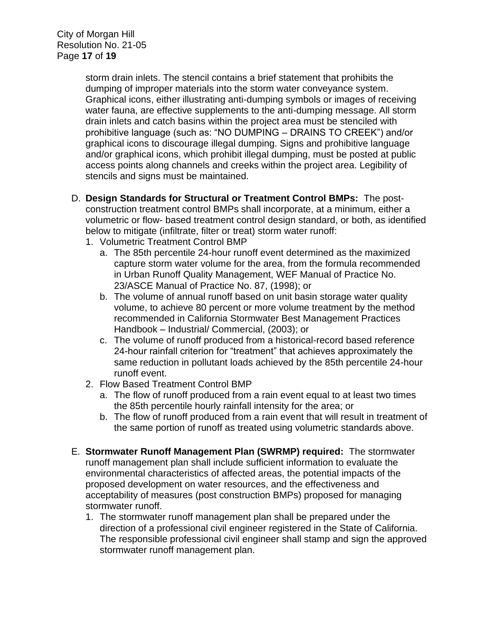City of Morgan Hill Resolution No. 21-05 Page **17** of **19**

> storm drain inlets. The stencil contains a brief statement that prohibits the dumping of improper materials into the storm water conveyance system. Graphical icons, either illustrating anti-dumping symbols or images of receiving water fauna, are effective supplements to the anti-dumping message. All storm drain inlets and catch basins within the project area must be stenciled with prohibitive language (such as: "NO DUMPING – DRAINS TO CREEK") and/or graphical icons to discourage illegal dumping. Signs and prohibitive language and/or graphical icons, which prohibit illegal dumping, must be posted at public access points along channels and creeks within the project area. Legibility of stencils and signs must be maintained.

- D. **Design Standards for Structural or Treatment Control BMPs:** The postconstruction treatment control BMPs shall incorporate, at a minimum, either a volumetric or flow- based treatment control design standard, or both, as identified below to mitigate (infiltrate, filter or treat) storm water runoff:
	- 1. Volumetric Treatment Control BMP
		- a. The 85th percentile 24-hour runoff event determined as the maximized capture storm water volume for the area, from the formula recommended in Urban Runoff Quality Management, WEF Manual of Practice No. 23/ASCE Manual of Practice No. 87, (1998); or
		- b. The volume of annual runoff based on unit basin storage water quality volume, to achieve 80 percent or more volume treatment by the method recommended in California Stormwater Best Management Practices Handbook – Industrial/ Commercial, (2003); or
		- c. The volume of runoff produced from a historical-record based reference 24-hour rainfall criterion for "treatment" that achieves approximately the same reduction in pollutant loads achieved by the 85th percentile 24-hour runoff event.
	- 2. Flow Based Treatment Control BMP
		- a. The flow of runoff produced from a rain event equal to at least two times the 85th percentile hourly rainfall intensity for the area; or
		- b. The flow of runoff produced from a rain event that will result in treatment of the same portion of runoff as treated using volumetric standards above.
- E. **Stormwater Runoff Management Plan (SWRMP) required:** The stormwater runoff management plan shall include sufficient information to evaluate the environmental characteristics of affected areas, the potential impacts of the proposed development on water resources, and the effectiveness and acceptability of measures (post construction BMPs) proposed for managing stormwater runoff.
	- 1. The stormwater runoff management plan shall be prepared under the direction of a professional civil engineer registered in the State of California. The responsible professional civil engineer shall stamp and sign the approved stormwater runoff management plan.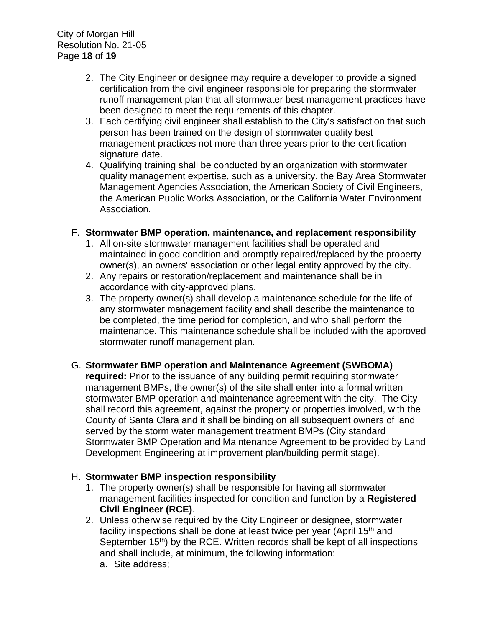City of Morgan Hill Resolution No. 21-05 Page **18** of **19**

- 2. The City Engineer or designee may require a developer to provide a signed certification from the civil engineer responsible for preparing the stormwater runoff management plan that all stormwater best management practices have been designed to meet the requirements of this chapter.
- 3. Each certifying civil engineer shall establish to the City's satisfaction that such person has been trained on the design of stormwater quality best management practices not more than three years prior to the certification signature date.
- 4. Qualifying training shall be conducted by an organization with stormwater quality management expertise, such as a university, the Bay Area Stormwater Management Agencies Association, the American Society of Civil Engineers, the American Public Works Association, or the California Water Environment Association.

#### F. **Stormwater BMP operation, maintenance, and replacement responsibility**

- 1. All on-site stormwater management facilities shall be operated and maintained in good condition and promptly repaired/replaced by the property owner(s), an owners' association or other legal entity approved by the city.
- 2. Any repairs or restoration/replacement and maintenance shall be in accordance with city-approved plans.
- 3. The property owner(s) shall develop a maintenance schedule for the life of any stormwater management facility and shall describe the maintenance to be completed, the time period for completion, and who shall perform the maintenance. This maintenance schedule shall be included with the approved stormwater runoff management plan.

# G. **Stormwater BMP operation and Maintenance Agreement (SWBOMA)**

**required:** Prior to the issuance of any building permit requiring stormwater management BMPs, the owner(s) of the site shall enter into a formal written stormwater BMP operation and maintenance agreement with the city. The City shall record this agreement, against the property or properties involved, with the County of Santa Clara and it shall be binding on all subsequent owners of land served by the storm water management treatment BMPs (City standard Stormwater BMP Operation and Maintenance Agreement to be provided by Land Development Engineering at improvement plan/building permit stage).

#### H. **Stormwater BMP inspection responsibility**

- 1. The property owner(s) shall be responsible for having all stormwater management facilities inspected for condition and function by a **Registered Civil Engineer (RCE)**.
- 2. Unless otherwise required by the City Engineer or designee, stormwater facility inspections shall be done at least twice per year (April 15<sup>th</sup> and September 15<sup>th</sup>) by the RCE. Written records shall be kept of all inspections and shall include, at minimum, the following information:
	- a. Site address;